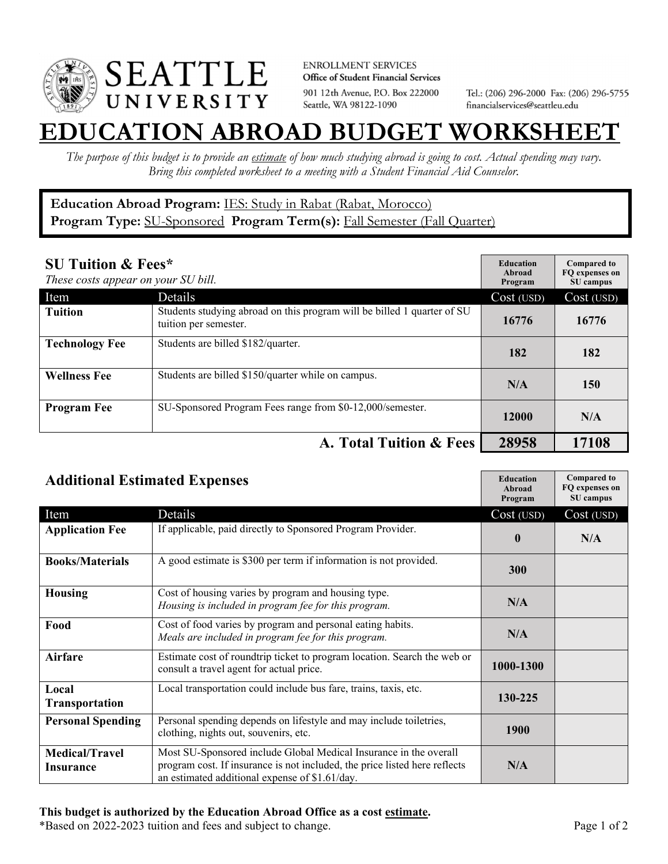

**ENROLLMENT SERVICES** Office of Student Financial Services 901 12th Avenue, P.O. Box 222000 Seattle, WA 98122-1090

Tel.: (206) 296-2000 Fax: (206) 296-5755 financialservices@seattleu.edu

## **EATION ABROAD BUDGET WORKSHEE**

*The purpose of this budget is to provide an estimate of how much studying abroad is going to cost. Actual spending may vary. Bring this completed worksheet to a meeting with a Student Financial Aid Counselor.* 

## **Education Abroad Program:** IES: Study in Rabat (Rabat, Morocco) Program Type: **SU-Sponsored** Program Term(s): **Fall Semester (Fall Quarter)**

| <b>SU Tuition &amp; Fees*</b><br>These costs appear on your SU bill. |                                                                                                  | <b>Education</b><br>Abroad<br>Program | <b>Compared to</b><br>FO expenses on<br>SU campus |
|----------------------------------------------------------------------|--------------------------------------------------------------------------------------------------|---------------------------------------|---------------------------------------------------|
| Item                                                                 | Details                                                                                          | Cost (USD)                            | Cost (USD)                                        |
| <b>Tuition</b>                                                       | Students studying abroad on this program will be billed 1 quarter of SU<br>tuition per semester. | 16776                                 | 16776                                             |
| <b>Technology Fee</b>                                                | Students are billed \$182/quarter.                                                               | 182                                   | 182                                               |
| <b>Wellness Fee</b>                                                  | Students are billed \$150/quarter while on campus.                                               | N/A                                   | 150                                               |
| <b>Program Fee</b>                                                   | SU-Sponsored Program Fees range from \$0-12,000/semester.                                        | 12000                                 | N/A                                               |
|                                                                      | A. Total Tuition & Fees                                                                          | 28958                                 | 17108                                             |

| <b>Additional Estimated Expenses</b> |                                                                                                                                                                                                   | <b>Education</b><br><b>Abroad</b><br>Program | <b>Compared to</b><br>FQ expenses on<br>SU campus |
|--------------------------------------|---------------------------------------------------------------------------------------------------------------------------------------------------------------------------------------------------|----------------------------------------------|---------------------------------------------------|
| Item                                 | Details                                                                                                                                                                                           | Cost (USD)                                   | Cost (USD)                                        |
| <b>Application Fee</b>               | If applicable, paid directly to Sponsored Program Provider.                                                                                                                                       | $\bf{0}$                                     | N/A                                               |
| <b>Books/Materials</b>               | A good estimate is \$300 per term if information is not provided.                                                                                                                                 | 300                                          |                                                   |
| <b>Housing</b>                       | Cost of housing varies by program and housing type.<br>Housing is included in program fee for this program.                                                                                       | N/A                                          |                                                   |
| Food                                 | Cost of food varies by program and personal eating habits.<br>Meals are included in program fee for this program.                                                                                 | N/A                                          |                                                   |
| <b>Airfare</b>                       | Estimate cost of roundtrip ticket to program location. Search the web or<br>consult a travel agent for actual price.                                                                              | 1000-1300                                    |                                                   |
| Local<br><b>Transportation</b>       | Local transportation could include bus fare, trains, taxis, etc.                                                                                                                                  | 130-225                                      |                                                   |
| <b>Personal Spending</b>             | Personal spending depends on lifestyle and may include toiletries,<br>clothing, nights out, souvenirs, etc.                                                                                       | 1900                                         |                                                   |
| <b>Medical/Travel</b><br>Insurance   | Most SU-Sponsored include Global Medical Insurance in the overall<br>program cost. If insurance is not included, the price listed here reflects<br>an estimated additional expense of \$1.61/day. | N/A                                          |                                                   |

\*Based on 2022-2023 tuition and fees and subject to change. Page 1 of 2